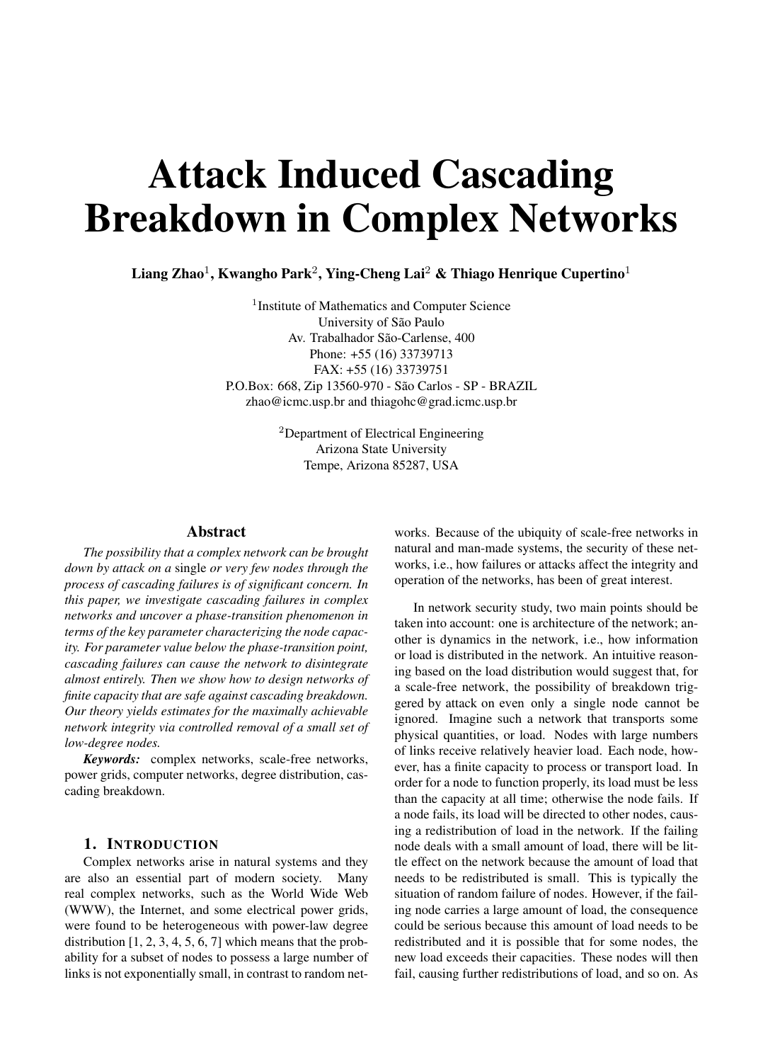# Attack Induced Cascading Breakdown in Complex Networks

Liang Zhao<sup>1</sup>, Kwangho Park<sup>2</sup>, Ying-Cheng Lai<sup>2</sup> & Thiago Henrique Cupertino<sup>1</sup>

<sup>1</sup>Institute of Mathematics and Computer Science University of São Paulo Av. Trabalhador São-Carlense, 400 Phone: +55 (16) 33739713 FAX: +55 (16) 33739751 P.O.Box: 668, Zip 13560-970 - São Carlos - SP - BRAZIL zhao@icmc.usp.br and thiagohc@grad.icmc.usp.br

> <sup>2</sup>Department of Electrical Engineering Arizona State University Tempe, Arizona 85287, USA

#### Abstract

*The possibility that a complex network can be brought down by attack on a* single *or very few nodes through the process of cascading failures is of significant concern. In this paper, we investigate cascading failures in complex networks and uncover a phase-transition phenomenon in terms of the key parameter characterizing the node capacity. For parameter value below the phase-transition point, cascading failures can cause the network to disintegrate almost entirely. Then we show how to design networks of finite capacity that are safe against cascading breakdown. Our theory yields estimates for the maximally achievable network integrity via controlled removal of a small set of low-degree nodes.*

*Keywords:* complex networks, scale-free networks, power grids, computer networks, degree distribution, cascading breakdown.

#### 1. INTRODUCTION

Complex networks arise in natural systems and they are also an essential part of modern society. Many real complex networks, such as the World Wide Web (WWW), the Internet, and some electrical power grids, were found to be heterogeneous with power-law degree distribution  $[1, 2, 3, 4, 5, 6, 7]$  which means that the probability for a subset of nodes to possess a large number of links is not exponentially small, in contrast to random networks. Because of the ubiquity of scale-free networks in natural and man-made systems, the security of these networks, i.e., how failures or attacks affect the integrity and operation of the networks, has been of great interest.

In network security study, two main points should be taken into account: one is architecture of the network; another is dynamics in the network, i.e., how information or load is distributed in the network. An intuitive reasoning based on the load distribution would suggest that, for a scale-free network, the possibility of breakdown triggered by attack on even only a single node cannot be ignored. Imagine such a network that transports some physical quantities, or load. Nodes with large numbers of links receive relatively heavier load. Each node, however, has a finite capacity to process or transport load. In order for a node to function properly, its load must be less than the capacity at all time; otherwise the node fails. If a node fails, its load will be directed to other nodes, causing a redistribution of load in the network. If the failing node deals with a small amount of load, there will be little effect on the network because the amount of load that needs to be redistributed is small. This is typically the situation of random failure of nodes. However, if the failing node carries a large amount of load, the consequence could be serious because this amount of load needs to be redistributed and it is possible that for some nodes, the new load exceeds their capacities. These nodes will then fail, causing further redistributions of load, and so on. As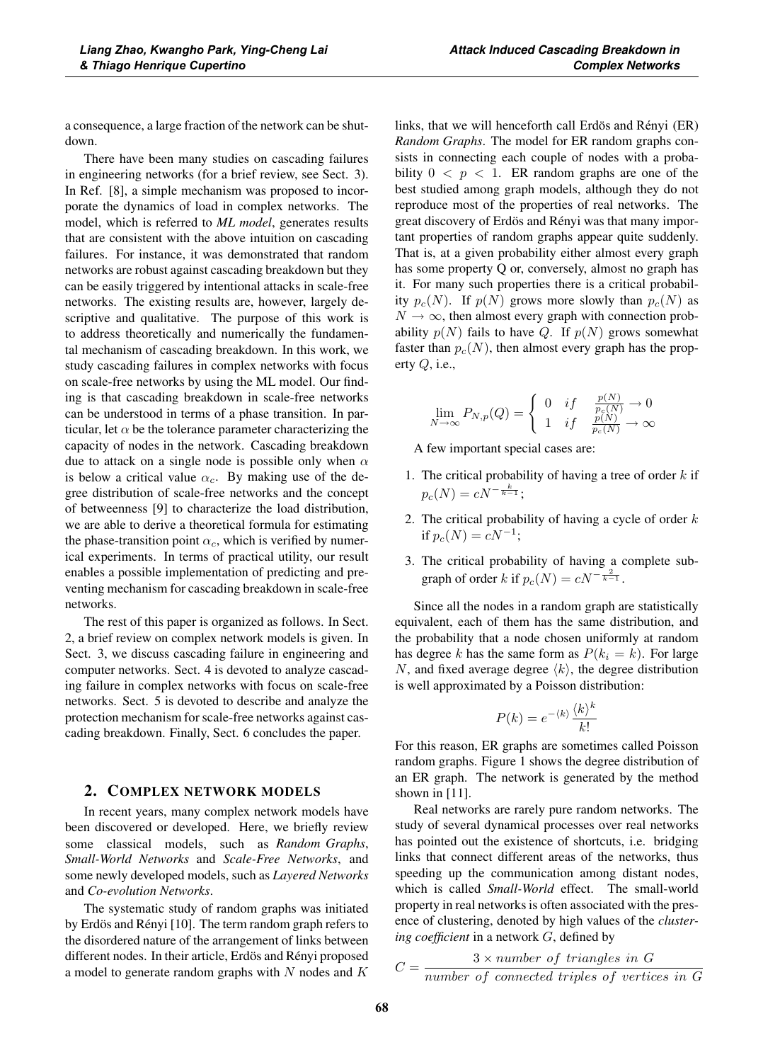a consequence, a large fraction of the network can be shutdown.

There have been many studies on cascading failures in engineering networks (for a brief review, see Sect. 3). In Ref. [8], a simple mechanism was proposed to incorporate the dynamics of load in complex networks. The model, which is referred to *ML model*, generates results that are consistent with the above intuition on cascading failures. For instance, it was demonstrated that random networks are robust against cascading breakdown but they can be easily triggered by intentional attacks in scale-free networks. The existing results are, however, largely descriptive and qualitative. The purpose of this work is to address theoretically and numerically the fundamental mechanism of cascading breakdown. In this work, we study cascading failures in complex networks with focus on scale-free networks by using the ML model. Our finding is that cascading breakdown in scale-free networks can be understood in terms of a phase transition. In particular, let  $\alpha$  be the tolerance parameter characterizing the capacity of nodes in the network. Cascading breakdown due to attack on a single node is possible only when  $\alpha$ is below a critical value  $\alpha_c$ . By making use of the degree distribution of scale-free networks and the concept of betweenness [9] to characterize the load distribution, we are able to derive a theoretical formula for estimating the phase-transition point  $\alpha_c$ , which is verified by numerical experiments. In terms of practical utility, our result enables a possible implementation of predicting and preventing mechanism for cascading breakdown in scale-free networks.

The rest of this paper is organized as follows. In Sect. 2, a brief review on complex network models is given. In Sect. 3, we discuss cascading failure in engineering and computer networks. Sect. 4 is devoted to analyze cascading failure in complex networks with focus on scale-free networks. Sect. 5 is devoted to describe and analyze the protection mechanism for scale-free networks against cascading breakdown. Finally, Sect. 6 concludes the paper.

#### 2. COMPLEX NETWORK MODELS

In recent years, many complex network models have been discovered or developed. Here, we briefly review some classical models, such as Random Graphs, *Small-World Networks* and *Scale-Free Networks*, and some newly developed models, such as *Layered Networks* and *Co-evolution Networks*.

The systematic study of random graphs was initiated by Erdös and Rényi [10]. The term random graph refers to the disordered nature of the arrangement of links between different nodes. In their article, Erdös and Rényi proposed a model to generate random graphs with  $N$  nodes and  $K$ 

links, that we will henceforth call Erdös and Rényi (ER) *Random Graphs*. The model for ER random graphs consists in connecting each couple of nodes with a probability  $0 < p < 1$ . ER random graphs are one of the best studied among graph models, although they do not reproduce most of the properties of real networks. The great discovery of Erdös and Rényi was that many important properties of random graphs appear quite suddenly. That is, at a given probability either almost every graph has some property Q or, conversely, almost no graph has it. For many such properties there is a critical probability  $p_c(N)$ . If  $p(N)$  grows more slowly than  $p_c(N)$  as  $N \to \infty$ , then almost every graph with connection probability  $p(N)$  fails to have Q. If  $p(N)$  grows somewhat faster than  $p_c(N)$ , then almost every graph has the property  $Q$ , i.e.,

$$
\lim_{N \to \infty} P_{N,p}(Q) = \begin{cases} 0 & \text{if } \frac{p(N)}{p_c(N)} \to 0 \\ 1 & \text{if } \frac{p(N)}{p_c(N)} \to \infty \end{cases}
$$

A few important special cases are:

- 1. The critical probability of having a tree of order  $k$  if  $p_c(N) = cN^{-\frac{k}{k-1}};$
- 2. The critical probability of having a cycle of order  $k$ if  $p_c(N) = cN^{-1}$ ;
- 3. The critical probability of having a complete subgraph of order k if  $p_c(N) = cN^{-\frac{2}{k-1}}$ .

Since all the nodes in a random graph are statistically equivalent, each of them has the same distribution, and the probability that a node chosen uniformly at random has degree k has the same form as  $P(k_i = k)$ . For large N, and fixed average degree  $\langle k \rangle$ , the degree distribution is well approximated by a Poisson distribution:

$$
P(k) = e^{-\langle k \rangle} \frac{\langle k \rangle^k}{k!}
$$

For this reason, ER graphs are sometimes called Poisson random graphs. Figure 1 shows the degree distribution of an ER graph. The network is generated by the method shown in [11].

Real networks are rarely pure random networks. The study of several dynamical processes over real networks has pointed out the existence of shortcuts, i.e. bridging links that connect different areas of the networks, thus speeding up the communication among distant nodes, which is called *Small-World* effect. The small-world property in real networks is often associated with the presence of clustering, denoted by high values of the *clustering coefficient* in a network G, defined by

$$
C = \frac{3 \times number \ of \ triangles \ in \ G}{number \ of \ connected \ triples \ of \ vertices \ in \ G}
$$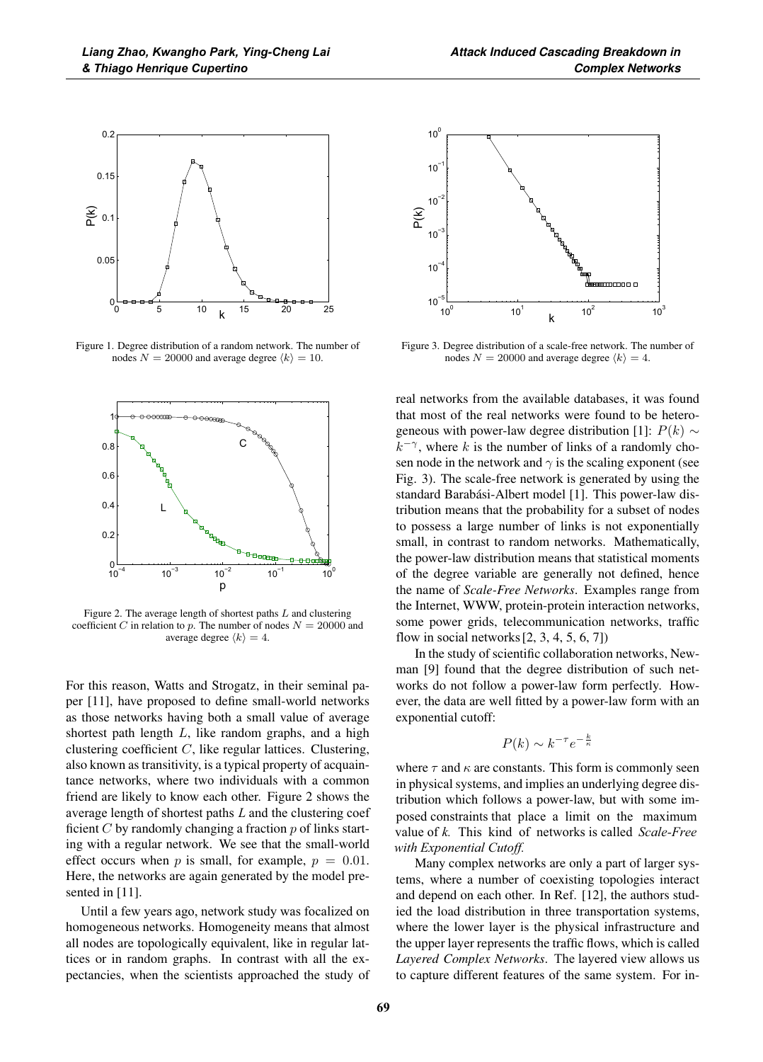

Figure 1. Degree distribution of a random network. The number of nodes  $N = 20000$  and average degree  $\langle k \rangle = 10$ .



Figure 2. The average length of shortest paths  $L$  and clustering coefficient C in relation to p. The number of nodes  $N = 20000$  and average degree  $\langle k \rangle = 4$ .

For this reason, Watts and Strogatz, in their seminal paper [11], have proposed to define small-world networks as those networks having both a small value of average shortest path length  $L$ , like random graphs, and a high clustering coefficient  $C$ , like regular lattices. Clustering, also known as transitivity, is a typical property of acquaintance networks, where two individuals with a common friend are likely to know each other. Figure 2 shows the average length of shortest paths L and the clustering coef ficient  $C$  by randomly changing a fraction  $p$  of links starting with a regular network. We see that the small-world effect occurs when p is small, for example,  $p = 0.01$ . Here, the networks are again generated by the model presented in [11]. surfage degree  $(k) = 4$ . Thow in social networks<br>
In the study of scien<br>
In the study of scien<br>
In the study of scien<br>
In the study of scien<br>
In the study of science and Puvorld networks<br>
or known as transitivity, is a typ

Until a few years ago, network study was focalized on homogeneous networks. Homogeneity means that almost all nodes are topologically equivalent, like in regular lattices or in random graphs. In contrast with all the expectancies, when the scientists approached the study of



Figure 3. Degree distribution of a scale-free network. The number of nodes  $N = 20000$  and average degree  $\langle k \rangle = 4$ .

real networks from the available databases, it was found that most of the real networks were found to be heterogeneous with power-law degree distribution [1]:  $P(k) \sim$  $k^{-\gamma}$ , where k is the number of links of a randomly chosen node in the network and  $\gamma$  is the scaling exponent (see Fig. 3). The scale-free network is generated by using the standard Barabási-Albert model [1]. This power-law distribution means that the probability for a subset of nodes to possess a large number of links is not exponentially small, in contrast to random networks. Mathematically, the power-law distribution means that statistical moments of the degree variable are generally not defined, hence the name of *Scale-Free Networks*. Examples range from the Internet, WWW, protein-protein interaction networks, some power grids, telecommunication networks, traffic flow in social networks  $[2, 3, 4, 5, 6, 7]$ 

In the study of scientific collaboration networks, Newman [9] found that the degree distribution of such networks do not follow a power-law form perfectly. However, the data are well fitted by a power-law form with an exponential cutoff:

$$
P(k) \sim k^{-\tau} e^{-\frac{k}{\kappa}}
$$

where  $\tau$  and  $\kappa$  are constants. This form is commonly seen in physical systems, and implies an underlying degree distribution which follows a power-law, but with some imposed constraints that place a limit on the maximum value of *k*. This kind of networks is called *Scale-Free ponential Cutoff*. *with Exponential Cutoff.*

Many complex networks are only a part of larger systems, where a number of coexisting topologies interact and depend on each other. In Ref. [12], the authors studied the load distribution in three transportation systems, where the lower layer is the physical infrastructure and the upper layer represents the traffic flows, which is called Layered Complex Networks. The layered view allows us to capture different features of the same system. For in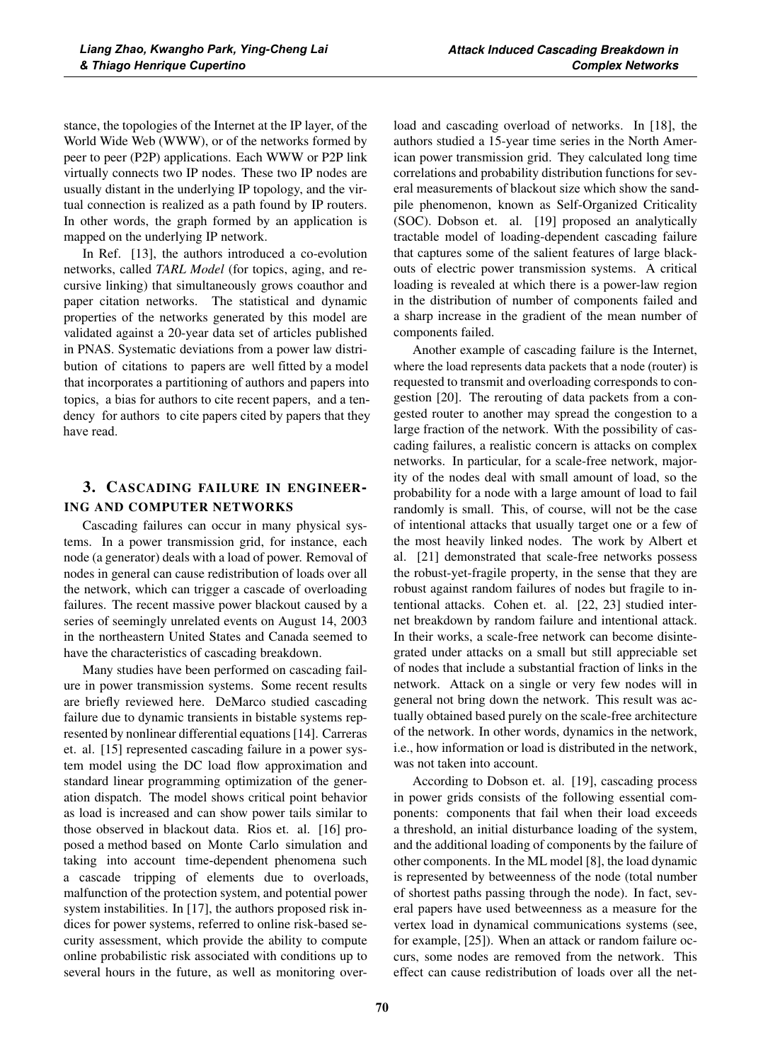stance, the topologies of the Internet at the IP layer, of the World Wide Web (WWW), or of the networks formed by peer to peer (P2P) applications. Each WWW or P2P link virtually connects two IP nodes. These two IP nodes are usually distant in the underlying IP topology, and the virtual connection is realized as a path found by IP routers. In other words, the graph formed by an application is mapped on the underlying IP network.

In Ref. [13], the authors introduced a co-evolution networks, called *TARL Model* (for topics, aging, and recursive linking) that simultaneously grows coauthor and paper citation networks. The statistical and dynamic properties of the networks generated by this model are validated against a 20-year data set of articles published in PNAS. Systematic deviations from a power law distribution of citations to papers are well fitted by a model bution of citations to papers are well fitted by a model that incorporates a partitioning of authors and papers into topics, a bias for authors to cite recent papers, and a tendency for authors to cite papers cited by papers that they have read.

# 3. CASCADING FAILURE IN ENGINEER-ING AND COMPUTER NETWORKS

Cascading failures can occur in many physical systems. In a power transmission grid, for instance, each node (a generator) deals with a load of power. Removal of nodes in general can cause redistribution of loads over all the network, which can trigger a cascade of overloading failures. The recent massive power blackout caused by a series of seemingly unrelated events on August 14, 2003 in the northeastern United States and Canada seemed to have the characteristics of cascading breakdown.

Many studies have been performed on cascading failure in power transmission systems. Some recent results are briefly reviewed here. DeMarco studied cascading failure due to dynamic transients in bistable systems represented by nonlinear differential equations [14]. Carreras et. al. [15] represented cascading failure in a power system model using the DC load flow approximation and standard linear programming optimization of the generation dispatch. The model shows critical point behavior as load is increased and can show power tails similar to those observed in blackout data. Rios et. al. [16] proposed a method based on Monte Carlo simulation and posed a method based on Monte Carlo simulation and taking into account time-dependent phenomena such a cascade tripping of elements due to overloads, malfunction of the protection system, and potential power system instabilities. In [17], the authors proposed risk indices for power systems, referred to online risk-based security assessment, which provide the ability to compute online probabilistic risk associated with conditions up to several hours in the future, as well as monitoring overload and cascading overload of networks. In [18], the authors studied a 15-year time series in the North American power transmission grid. They calculated long time correlations and probability distribution functions for several measurements of blackout size which show the sandpile phenomenon, known as Self-Organized Criticality (SOC). Dobson et. al. [19] proposed an analytically tractable model of loading-dependent cascading failure that captures some of the salient features of large blackouts of electric power transmission systems. A critical loading is revealed at which there is a power-law region in the distribution of number of components failed and a sharp increase in the gradient of the mean number of components failed.

Another example of cascading failure is the Internet, where the load represents data packets that a node (router) is requested to transmit and overloading corresponds to congestion [20]. The rerouting of data packets from a congested router to another may spread the congestion to a large fraction of the network. With the possibility of cascading failures, a realistic concern is attacks on complex networks. In particular, for a scale-free network, majority of the nodes deal with small amount of load, so the probability for a node with a large amount of load to fail randomly is small. This, of course, will not be the case of intentional attacks that usually target one or a few of the most heavily linked nodes. The work by Albert et al. [21] demonstrated that scale-free networks possess the robust-yet-fragile property, in the sense that they are robust against random failures of nodes but fragile to intentional attacks. Cohen et. al. [22, 23] studied internet breakdown by random failure and intentional attack. In their works, a scale-free network can become disintegrated under attacks on a small but still appreciable set of nodes that include a substantial fraction of links in the network. Attack on a single or very few nodes will in general not bring down the network. This result was actually obtained based purely on the scale-free architecture of the network. In other words, dynamics in the network, i.e., how information or load is distributed in the network, was not taken into account.

According to Dobson et. al. [19], cascading process in power grids consists of the following essential components: components that fail when their load exceeds a threshold, an initial disturbance loading of the system, and the additional loading of components by the failure of other components. In the ML model [8], the load dynamic is represented by betweenness of the node (total number of shortest paths passing through the node). In fact, several papers have used betweenness as a measure for the vertex load in dynamical communications systems (see, for example, [25]). When an attack or random failure occurs, some nodes are removed from the network. This effect can cause redistribution of loads over all the net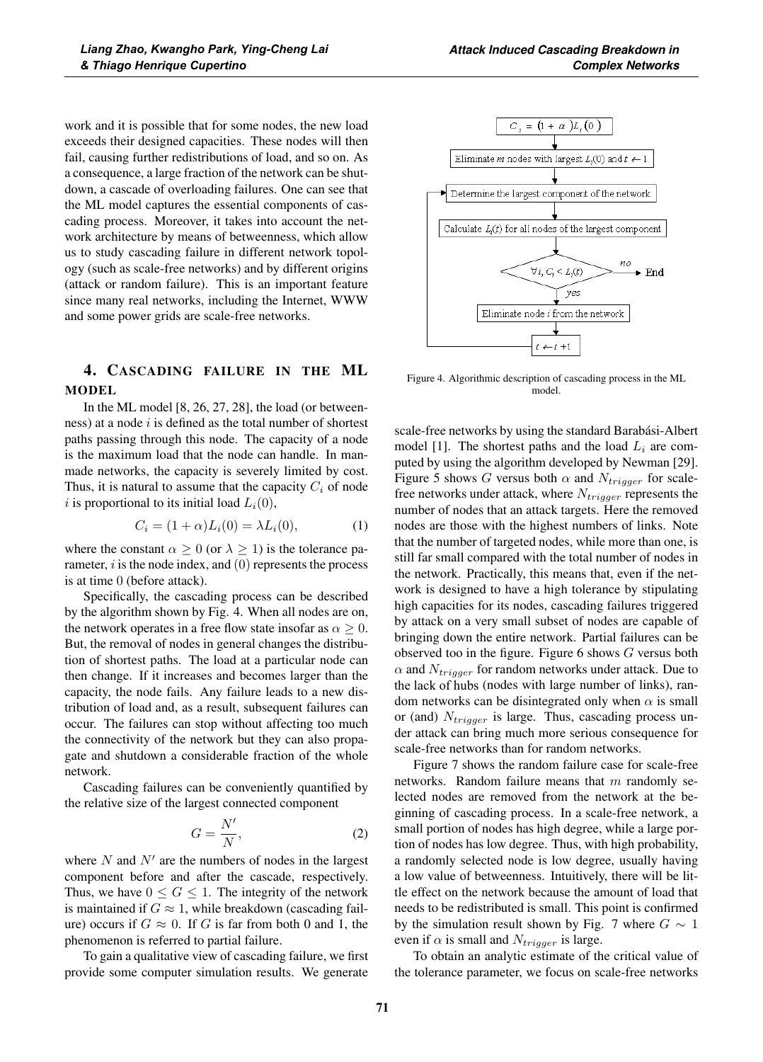work and it is possible that for some nodes, the new load exceeds their designed capacities. These nodes will then fail, causing further redistributions of load, and so on. As a consequence, a large fraction of the network can be shutdown, a cascade of overloading failures. One can see that the ML model captures the essential components of cascading process. Moreover, it takes into account the network architecture by means of betweenness, which allow us to study cascading failure in different network topology (such as scale-free networks) and by different origins (attack or random failure). This is an important feature since many real networks, including the Internet, WWW and some power grids are scale-free networks.

# 4. CASCADING FAILURE IN THE ML MODEL

In the ML model [8, 26, 27, 28], the load (or betweenness) at a node  $i$  is defined as the total number of shortest paths passing through this node. The capacity of a node is the maximum load that the node can handle. In manmade networks, the capacity is severely limited by cost. Thus, it is natural to assume that the capacity  $C_i$  of node i is proportional to its initial load  $L_i(0)$ ,

$$
C_i = (1 + \alpha)L_i(0) = \lambda L_i(0), \qquad (1)
$$

where the constant  $\alpha \geq 0$  (or  $\lambda \geq 1$ ) is the tolerance parameter,  $i$  is the node index, and  $(0)$  represents the process is at time 0 (before attack).

Specifically, the cascading process can be described by the algorithm shown by Fig. 4. When all nodes are on, the network operates in a free flow state insofar as  $\alpha \geq 0$ . But, the removal of nodes in general changes the distribution of shortest paths. The load at a particular node can then change. If it increases and becomes larger than the capacity, the node fails. Any failure leads to a new distribution of load and, as a result, subsequent failures can occur. The failures can stop without affecting too much the connectivity of the network but they can also propagate and shutdown a considerable fraction of the whole network.

Cascading failures can be conveniently quantified by the relative size of the largest connected component

$$
G = \frac{N'}{N},\tag{2}
$$

where  $N$  and  $N'$  are the numbers of nodes in the largest component before and after the cascade, respectively. Thus, we have  $0 \leq G \leq 1$ . The integrity of the network is maintained if  $G \approx 1$ , while breakdown (cascading failure) occurs if  $G \approx 0$ . If G is far from both 0 and 1, the phenomenon is referred to partial failure.

To gain a qualitative view of cascading failure, we first provide some computer simulation results. We generate



Figure 4. Algorithmic description of cascading process in the ML model.

scale-free networks by using the standard Barabási-Albert model [1]. The shortest paths and the load  $L_i$  are computed by using the algorithm developed by Newman [29]. Figure 5 shows G versus both  $\alpha$  and  $N_{trigger}$  for scalefree networks under attack, where  $N_{triangle}$  represents the number of nodes that an attack targets. Here the removed nodes are those with the highest numbers of links. Note that the number of targeted nodes, while more than one, is still far small compared with the total number of nodes in the network. Practically, this means that, even if the network is designed to have a high tolerance by stipulating high capacities for its nodes, cascading failures triggered by attack on a very small subset of nodes are capable of bringing down the entire network. Partial failures can be observed too in the figure. Figure  $6$  shows  $G$  versus both  $\alpha$  and  $N_{trigger}$  for random networks under attack. Due to the lack of hubs (nodes with large number of links), random networks can be disintegrated only when  $\alpha$  is small or (and)  $N_{trigger}$  is large. Thus, cascading process under attack can bring much more serious consequence for scale-free networks than for random networks.

Figure 7 shows the random failure case for scale-free networks. Random failure means that  $m$  randomly selected nodes are removed from the network at the beginning of cascading process. In a scale-free network, a small portion of nodes has high degree, while a large portion of nodes has low degree. Thus, with high probability, a randomly selected node is low degree, usually having a low value of betweenness. Intuitively, there will be little effect on the network because the amount of load that needs to be redistributed is small. This point is confirmed by the simulation result shown by Fig. 7 where  $G \sim 1$ even if  $\alpha$  is small and  $N_{trigger}$  is large.

To obtain an analytic estimate of the critical value of the tolerance parameter, we focus on scale-free networks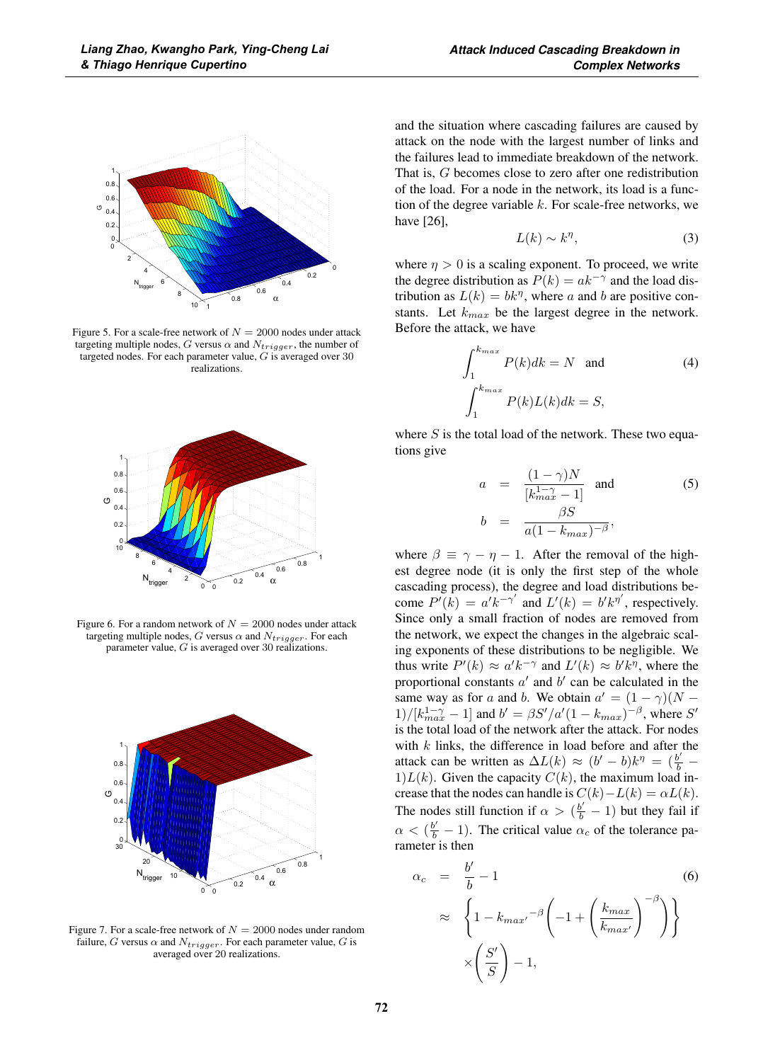

Figure 5. For a scale-free network of  $N = 2000$  nodes under attack targeting multiple nodes, G versus  $\alpha$  and  $N_{trigger}$ , the number of targeted nodes. For each parameter value,  $G$  is averaged over 30 realizations.



Figure 6. For a random network of  $N = 2000$  nodes under attack targeting multiple nodes, G versus  $\alpha$  and  $N_{trigger}$ . For each parameter value, G is averaged over 30 realizations.



Figure 7. For a scale-free network of  $N = 2000$  nodes under random failure,  $G$  versus  $\alpha$  and  $N_{trigger}.$  For each parameter value,  $G$  is averaged over 20 realizations.

and the situation where cascading failures are caused by attack on the node with the largest number of links and the failures lead to immediate breakdown of the network. That is, G becomes close to zero after one redistribution of the load. For a node in the network, its load is a function of the degree variable  $k$ . For scale-free networks, we have [26],

$$
L(k) \sim k^{\eta},\tag{3}
$$

where  $\eta > 0$  is a scaling exponent. To proceed, we write the degree distribution as  $P(k) = ak^{-\gamma}$  and the load distribution as  $L(k) = bk^{\eta}$ , where a and b are positive constants. Let  $k_{max}$  be the largest degree in the network. Before the attack, we have

$$
\int_{1}^{k_{max}} P(k)dk = N \text{ and}
$$
\n
$$
\int_{1}^{k_{max}} P(k)L(k)dk = S,
$$
\n(4)

where  $S$  is the total load of the network. These two equations give

$$
a = \frac{(1 - \gamma)N}{[k_{max}^{1 - \gamma} - 1]} \text{ and } (5)
$$

$$
b = \frac{\beta S}{a(1 - k_{max})^{-\beta}},
$$

where  $\beta \equiv \gamma - \eta - 1$ . After the removal of the highest degree node (it is only the first step of the whole cascading process), the degree and load distributions become  $P'(k) = a' k^{-\gamma'}$  and  $L'(k) = b' k^{\eta'}$ , respectively. Since only a small fraction of nodes are removed from the network, we expect the changes in the algebraic scaling exponents of these distributions to be negligible. We thus write  $P'(k) \approx a' k^{-\gamma}$  and  $L'(k) \approx b' k^{\eta}$ , where the proportional constants  $a'$  and  $b'$  can be calculated in the same way as for a and b. We obtain  $a' = (1 - \gamma)(N - \gamma)$  $1)/[k_{max}^{1-\gamma} - 1]$  and  $b' = \frac{\beta S'}{a'} (1 - k_{max})^{-\beta}$ , where S'<br>is the total load of the network after the attack. For nodes is the total load of the network after the attack. For nodes with  $k$  links, the difference in load before and after the attack can be written as  $\Delta L(k) \approx (b' - b)k^{\eta} = (\frac{b'}{b} - 1)L(k)$ . Given the capacity  $C(k)$ , the maximum load increase that the nodes can handle is  $C(k)-L(k) = \alpha L(k)$ . The nodes still function if  $\alpha > (\frac{b'}{b}-1)$  but they fail if  $\alpha < (\frac{b'}{b} - 1)$ . The critical value  $\alpha_c$  of the tolerance parameter is then rameter is then

$$
\alpha_c = \frac{b'}{b} - 1
$$
\n
$$
\approx \left\{ 1 - k_{max}^{-\beta} \left( -1 + \left( \frac{k_{max}}{k_{max}} \right)^{-\beta} \right) \right\}
$$
\n
$$
\times \left( \frac{S'}{S} \right) - 1,
$$
\n(6)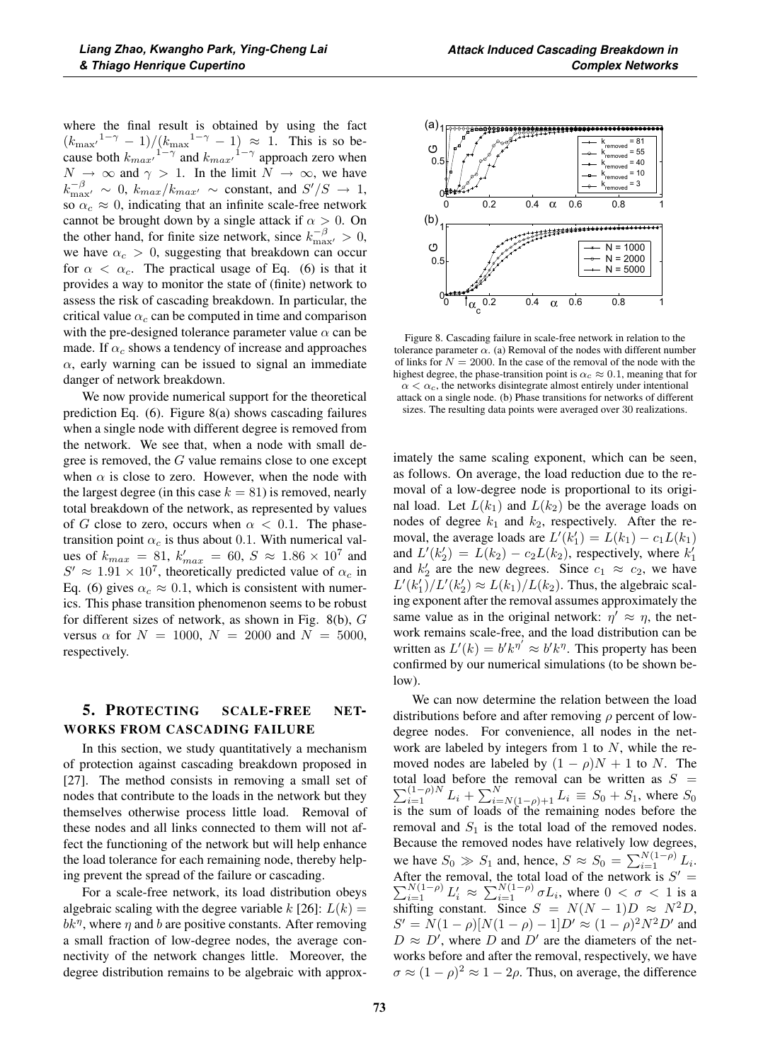where the final result is obtained by using the fact  $(k_{\text{max}}^{1-\gamma}-1)/(k_{\text{max}}^{1-\gamma}-1) \approx 1$ . This is so because both  $k_{max'}^{1-\gamma}$  and  $k_{max'}^{1-\gamma}$  approach zero when  $N \to \infty$  and  $\gamma > 1$ . In the limit  $N \to \infty$ , we have  $k_{\text{max}}^{-\beta} \sim 0$ ,  $k_{\text{max}}/k_{\text{max}} \sim \text{constant}$ , and  $S'/S \rightarrow 1$ ,<br>co.  $\approx 0$ , indicating that on infinite coals free naturals so  $\alpha_c \approx 0$ , indicating that an infinite scale-free network cannot be brought down by a single attack if  $\alpha > 0$ . On the other hand, for finite size network, since  $k_{\text{max}}^{-\beta} > 0$ , we have  $\alpha_c > 0$ , suggesting that breakdown can occur for  $\alpha < \alpha_c$ . The practical usage of Eq. (6) is that it provides a way to monitor the state of (finite) network to assess the risk of cascading breakdown. In particular, the critical value  $\alpha_c$  can be computed in time and comparison with the pre-designed tolerance parameter value  $\alpha$  can be made. If  $\alpha_c$  shows a tendency of increase and approaches  $\alpha$ , early warning can be issued to signal an immediate danger of network breakdown.

We now provide numerical support for the theoretical prediction Eq. (6). Figure 8(a) shows cascading failures when a single node with different degree is removed from the network. We see that, when a node with small degree is removed, the  $G$  value remains close to one except when  $\alpha$  is close to zero. However, when the node with the largest degree (in this case  $k = 81$ ) is removed, nearly total breakdown of the network, as represented by values of G close to zero, occurs when  $\alpha < 0.1$ . The phasetransition point  $\alpha_c$  is thus about 0.1. With numerical values of  $k_{max} = 81$ ,  $k'_{max} = 60$ ,  $S \approx 1.86 \times 10^7$  and  $S' \approx 1.91 \times 10^7$  theoretically predicted value of  $\alpha$  in  $S' \approx 1.91 \times 10^7$ , theoretically predicted value of  $\alpha_c$  in Eq. (6) gives  $\alpha_c \approx 0.1$ , which is consistent with numerics. This phase transition phenomenon seems to be robust for different sizes of network, as shown in Fig. 8(b),  $G$ versus  $\alpha$  for  $N = 1000$ ,  $N = 2000$  and  $N = 5000$ , respectively.

# 5. PROTECTING SCALE-FREE NET-WORKS FROM CASCADING FAILURE

In this section, we study quantitatively a mechanism of protection against cascading breakdown proposed in [27]. The method consists in removing a small set of nodes that contribute to the loads in the network but they themselves otherwise process little load. Removal of these nodes and all links connected to them will not affect the functioning of the network but will help enhance the load tolerance for each remaining node, thereby helping prevent the spread of the failure or cascading.

For a scale-free network, its load distribution obeys algebraic scaling with the degree variable k [26]:  $L(k) =$  $bk^{\eta}$ , where  $\eta$  and b are positive constants. After removing a small fraction of low-degree nodes, the average connectivity of the network changes little. Moreover, the degree distribution remains to be algebraic with approx-



Figure 8. Cascading failure in scale-free network in relation to the tolerance parameter  $\alpha$ . (a) Removal of the nodes with different number of links for  $N = 2000$ . In the case of the removal of the node with the highest degree, the phase-transition point is  $\alpha_c \approx 0.1$ , meaning that for  $\alpha < \alpha_c$ , the networks disintegrate almost entirely under intentional

attack on a single node. (b) Phase transitions for networks of different sizes. The resulting data points were averaged over 30 realizations.

imately the same scaling exponent, which can be seen, as follows. On average, the load reduction due to the removal of a low-degree node is proportional to its original load. Let  $L(k_1)$  and  $L(k_2)$  be the average loads on nodes of degree  $k_1$  and  $k_2$ , respectively. After the removal, the average loads are  $L'(k'_1) = L(k_1) - c_1 L(k_1)$ and  $L'(k'_2) = L(k_2) - c_2L(k_2)$ , respectively, where  $k'_1$ and  $k'_2$  are the new degrees. Since  $c_1 \approx c_2$ , we have  $L'(k'_1)/L'(k'_2) \approx L(k_1)/L(k_2)$ . Thus, the algebraic scaling exponent after the removal assumes approximately the same value as in the original network:  $\eta' \approx \eta$ , the network remains scale-free, and the load distribution can be written as  $L'(k) = b'k^{\eta'} \approx b'k^{\eta}$ . This property has been confirmed by our numerical simulations (to be shown below).

We can now determine the relation between the load distributions before and after removing  $\rho$  percent of lowdegree nodes. For convenience, all nodes in the network are labeled by integers from 1 to  $N$ , while the removed nodes are labeled by  $(1 - \rho)N + 1$  to N. The total load before the removal can be written as  $S =$ total load before the removal can be written as  $S = \sum_{i=1}^{(1-\rho)N} L_i + \sum_{i=N(1-\rho)+1}^{N} L_i \equiv S_0 + S_1$ , where  $S_0$  $\sum_{i=1}^{(1-\rho)/N} L_i + \sum_{i=N(1-\rho)+1}^{N} L_i \equiv S_0 + S_1$ , where  $S_0$ <br>the sum of loads of the remaining nodes before the is the sum of loads of the remaining nodes before the removal and  $S_1$  is the total load of the removed nodes. Because the removed nodes have relatively low degrees, we have  $S_0 \gg S_1$  and, hence,  $S \approx S_0 = \sum_{i=1}^{N(1-\rho)} L_i$ .<br>After the removal the total load of the network is  $S'$ After the removal, the total load of the network is  $S' = \sum_{i=1}^{N(1-\rho)} L'_i \approx \sum_{i=1}^{N(1-\rho)} \sigma L_i$ , where  $0 < \sigma < 1$  is a shifting constant. Since  $S = N(N-1)D \approx N^2D$ shifting constant. Since  $S = N(N-1)D \approx N^2D$ ,  $S' = N(1 - \rho)[N(1 - \rho) - 1]D' \approx (1 - \rho)^2 N^2 D'$  and  $D \approx D'$ , where D and D' are the diameters of the networks before and after the removal, respectively, we have  $\sigma \approx (1 - \rho)^2 \approx 1 - 2\rho$ . Thus, on average, the difference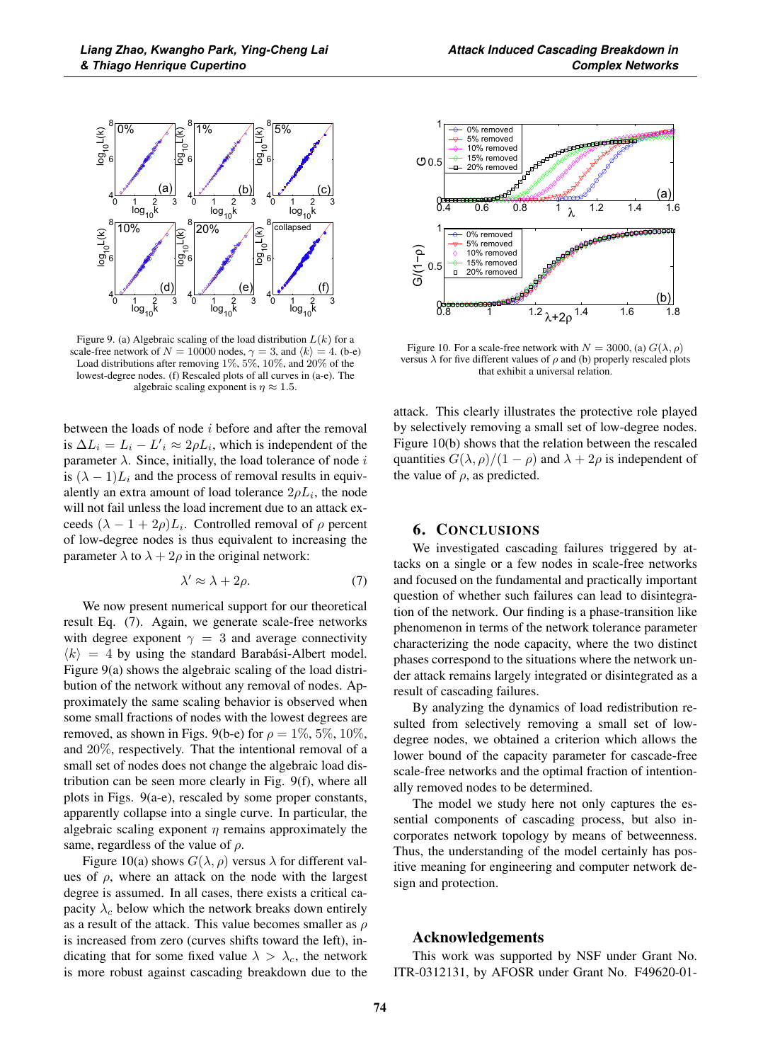

Figure 9. (a) Algebraic scaling of the load distribution  $L(k)$  for a scale-free network of  $N = 10000$  nodes,  $\gamma = 3$ , and  $\langle k \rangle = 4$ . (b-e) Load distributions after removing 1%, 5%, 10%, and 20% of the lowest-degree nodes. (f) Rescaled plots of all curves in (a-e). The algebraic scaling exponent is  $\eta \approx 1.5$ .

between the loads of node  $i$  before and after the removal is  $\Delta L_i = L_i - L'_i \approx 2\rho L_i$ , which is independent of the parameter ). Since initially the load telegrate of node is parameter  $\lambda$ . Since, initially, the load tolerance of node i is  $(\lambda - 1)L_i$  and the process of removal results in equivalently an extra amount of load tolerance  $2\rho L_i$ , the node will not fail unless the load increment due to an attack exceeds  $(\lambda - 1 + 2\rho)L_i$ . Controlled removal of  $\rho$  percent of low-degree nodes is thus equivalent to increasing the parameter  $\lambda$  to  $\lambda + 2\rho$  in the original network:

$$
\lambda' \approx \lambda + 2\rho. \tag{7}
$$

We now present numerical support for our theoretical result Eq. (7). Again, we generate scale-free networks with degree exponent  $\gamma = 3$  and average connectivity  $\langle k \rangle = 4$  by using the standard Barabási-Albert model. Figure 9(a) shows the algebraic scaling of the load distribution of the network without any removal of nodes. Approximately the same scaling behavior is observed when some small fractions of nodes with the lowest degrees are removed, as shown in Figs. 9(b-e) for  $\rho = 1\%$ , 5%, 10%, and 20%, respectively. That the intentional removal of a small set of nodes does not change the algebraic load distribution can be seen more clearly in Fig. 9(f), where all plots in Figs. 9(a-e), rescaled by some proper constants, apparently collapse into a single curve. In particular, the algebraic scaling exponent  $\eta$  remains approximately the same, regardless of the value of  $\rho$ .

Figure 10(a) shows  $G(\lambda, \rho)$  versus  $\lambda$  for different values of  $\rho$ , where an attack on the node with the largest degree is assumed. In all cases, there exists a critical capacity  $\lambda_c$  below which the network breaks down entirely as a result of the attack. This value becomes smaller as  $\rho$ is increased from zero (curves shifts toward the left), indicating that for some fixed value  $\lambda > \lambda_c$ , the network is more robust against cascading breakdown due to the



Figure 10. For a scale-free network with  $N = 3000$ , (a)  $G(\lambda, \rho)$ versus  $\lambda$  for five different values of  $\rho$  and (b) properly rescaled plots that exhibit a universal relation.

attack. This clearly illustrates the protective role played by selectively removing a small set of low-degree nodes. Figure 10(b) shows that the relation between the rescaled quantities  $G(\lambda, \rho)/(1 - \rho)$  and  $\lambda + 2\rho$  is independent of the value of  $\rho$ , as predicted.

## 6. CONCLUSIONS

We investigated cascading failures triggered by attacks on a single or a few nodes in scale-free networks and focused on the fundamental and practically important question of whether such failures can lead to disintegration of the network. Our finding is a phase-transition like phenomenon in terms of the network tolerance parameter characterizing the node capacity, where the two distinct phases correspond to the situations where the network under attack remains largely integrated or disintegrated as a result of cascading failures.

By analyzing the dynamics of load redistribution resulted from selectively removing a small set of lowdegree nodes, we obtained a criterion which allows the lower bound of the capacity parameter for cascade-free scale-free networks and the optimal fraction of intentionally removed nodes to be determined.

The model we study here not only captures the essential components of cascading process, but also incorporates network topology by means of betweenness. Thus, the understanding of the model certainly has positive meaning for engineering and computer network design and protection.

#### Acknowledgements

This work was supported by NSF under Grant No. ITR-0312131, by AFOSR under Grant No. F49620-01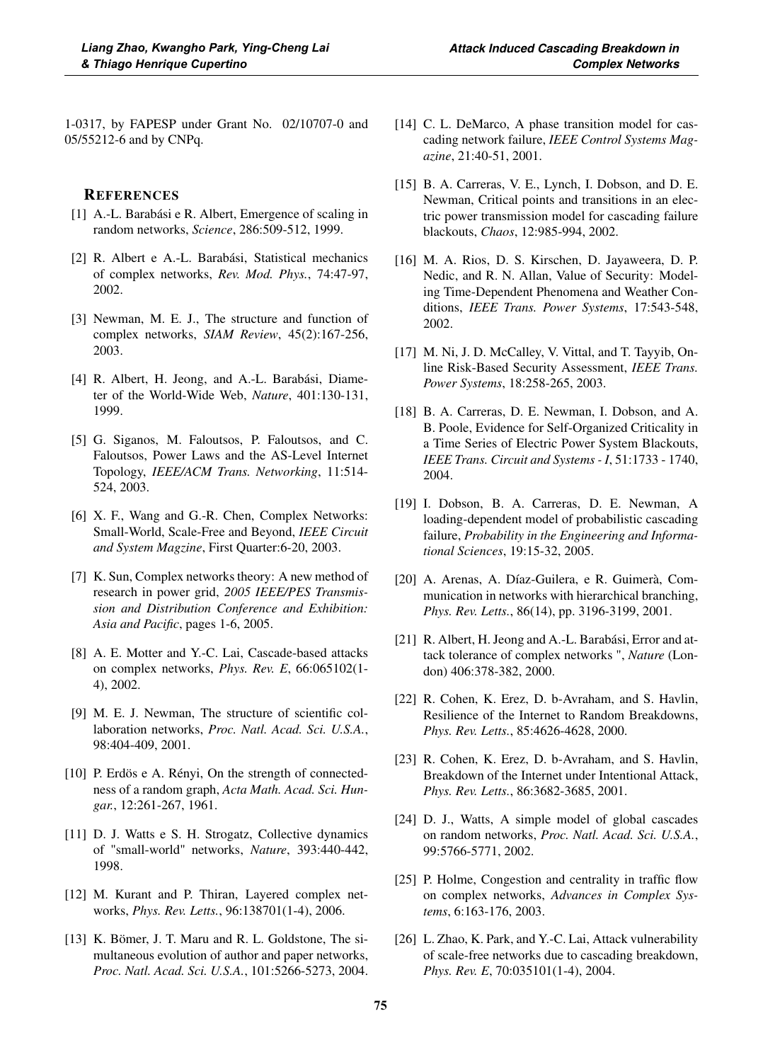1-0317, by FAPESP under Grant No. 02/10707-0 and 05/55212-6 and by CNPq.

### **REFERENCES**

- [1] A.-L. Barabási e R. Albert, Emergence of scaling in random networks, *Science*, 286:509-512, 1999.
- [2] R. Albert e A.-L. Barabási, Statistical mechanics of complex networks, *Rev. Mod. Phys.*, 74:47-97, 2002.
- [3] Newman, M. E. J., The structure and function of complex networks, *SIAM Review*, 45(2):167-256, 2003.
- [4] R. Albert, H. Jeong, and A.-L. Barabási, Diameter of the World-Wide Web, *Nature*, 401:130-131, 1999.
- [5] G. Siganos, M. Faloutsos, P. Faloutsos, and C. Faloutsos, Power Laws and the AS-Level Internet Topology, *IEEE/ACM Trans. Networking*, 11:514- 524, 2003.
- [6] X. F., Wang and G.-R. Chen, Complex Networks: Small-World, Scale-Free and Beyond, *IEEE Circuit and System Magzine*, First Quarter:6-20, 2003.
- [7] K. Sun, Complex networks theory: A new method of research in power grid, *2005 IEEE/PES Transmission and Distribution Conference and Exhibition: Asia and Pacific*, pages 1-6, 2005.
- [8] A. E. Motter and Y.-C. Lai, Cascade-based attacks on complex networks, *Phys. Rev. E*, 66:065102(1- 4), 2002.
- [9] M. E. J. Newman, The structure of scientific collaboration networks, *Proc. Natl. Acad. Sci. U.S.A.*, 98:404-409, 2001.
- [10] P. Erdös e A. Rényi, On the strength of connectedness of a random graph, *Acta Math. Acad. Sci. Hungar.*, 12:261-267, 1961.
- [11] D. J. Watts e S. H. Strogatz, Collective dynamics of "small-world" networks, *Nature*, 393:440-442, 1998.
- [12] M. Kurant and P. Thiran, Layered complex networks, *Phys. Rev. Letts.*, 96:138701(1-4), 2006.
- [13] K. Bömer, J. T. Maru and R. L. Goldstone, The simultaneous evolution of author and paper networks, *Proc. Natl. Acad. Sci. U.S.A.*, 101:5266-5273, 2004.
- [14] C. L. DeMarco, A phase transition model for cascading network failure, *IEEE Control Systems Magazine*, 21:40-51, 2001.
- [15] B. A. Carreras, V. E., Lynch, I. Dobson, and D. E. Newman, Critical points and transitions in an electric power transmission model for cascading failure blackouts, *Chaos*, 12:985-994, 2002.
- [16] M. A. Rios, D. S. Kirschen, D. Jayaweera, D. P. Nedic, and R. N. Allan, Value of Security: Modeling Time-Dependent Phenomena and Weather Conditions, *IEEE Trans. Power Systems*, 17:543-548, 2002.
- [17] M. Ni, J. D. McCalley, V. Vittal, and T. Tayyib, Online Risk-Based Security Assessment, *IEEE Trans. Power Systems*, 18:258-265, 2003.
- [18] B. A. Carreras, D. E. Newman, I. Dobson, and A. B. Poole, Evidence for Self-Organized Criticality in a Time Series of Electric Power System Blackouts, *IEEE Trans. Circuit and Systems - I*, 51:1733 - 1740, 2004.
- [19] I. Dobson, B. A. Carreras, D. E. Newman, A loading-dependent model of probabilistic cascading failure, *Probability in the Engineering and Informational Sciences*, 19:15-32, 2005.
- [20] A. Arenas, A. Díaz-Guilera, e R. Guimerà, Communication in networks with hierarchical branching, *Phys. Rev. Letts.*, 86(14), pp. 3196-3199, 2001.
- [21] R. Albert, H. Jeong and A.-L. Barabási, Error and attack tolerance of complex networks ", *Nature* (London) 406:378-382, 2000.
- [22] R. Cohen, K. Erez, D. b-Avraham, and S. Havlin, Resilience of the Internet to Random Breakdowns, *Phys. Rev. Letts.*, 85:4626-4628, 2000.
- [23] R. Cohen, K. Erez, D. b-Avraham, and S. Havlin, Breakdown of the Internet under Intentional Attack, *Phys. Rev. Letts.*, 86:3682-3685, 2001.
- [24] D. J., Watts, A simple model of global cascades on random networks, *Proc. Natl. Acad. Sci. U.S.A.*, 99:5766-5771, 2002.
- [25] P. Holme, Congestion and centrality in traffic flow on complex networks, *Advances in Complex Systems*, 6:163-176, 2003.
- [26] L. Zhao, K. Park, and Y.-C. Lai, Attack vulnerability of scale-free networks due to cascading breakdown, *Phys. Rev. E*, 70:035101(1-4), 2004.